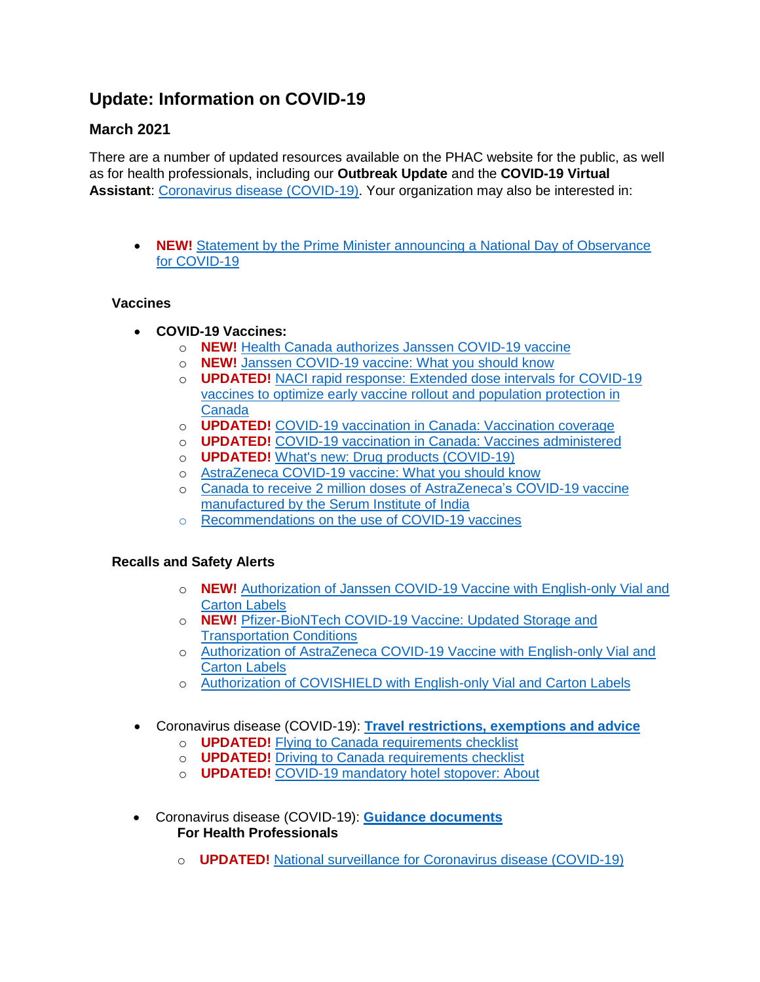## **Update: Information on COVID-19**

## **March 2021**

There are a number of updated resources available on the PHAC website for the public, as well as for health professionals, including our **Outbreak Update** and the **COVID-19 Virtual Assistant**: [Coronavirus disease \(COVID-19\).](https://can01.safelinks.protection.outlook.com/?url=https%3A%2F%2Fwww.canada.ca%2Fen%2Fpublic-health%2Fservices%2Fdiseases%2F2019-novel-coronavirus-infection.html&data=04%7C01%7Cemorin%40cna-aiic.ca%7C0f17bb9670304e77398108d8e5740991%7C8bb6061d2d4640959f9e41cfcbc1e9f1%7C0%7C0%7C637511633833956925%7CUnknown%7CTWFpbGZsb3d8eyJWIjoiMC4wLjAwMDAiLCJQIjoiV2luMzIiLCJBTiI6Ik1haWwiLCJXVCI6Mn0%3D%7C1000&sdata=3CUqNd9z6PxPhx%2Br98mXmw2EAFuyLycfWUfvHBsleV4%3D&reserved=0) Your organization may also be interested in:

 **NEW!** [Statement by the Prime Minister announcing a National Day of Observance](https://can01.safelinks.protection.outlook.com/?url=https%3A%2F%2Fpm.gc.ca%2Fen%2Fnews%2Fstatements%2F2021%2F03%2F08%2Fstatement-prime-minister-announcing-national-day-observance-covid-19&data=04%7C01%7Cemorin%40cna-aiic.ca%7C0f17bb9670304e77398108d8e5740991%7C8bb6061d2d4640959f9e41cfcbc1e9f1%7C0%7C0%7C637511633833956925%7CUnknown%7CTWFpbGZsb3d8eyJWIjoiMC4wLjAwMDAiLCJQIjoiV2luMzIiLCJBTiI6Ik1haWwiLCJXVCI6Mn0%3D%7C1000&sdata=eGEGwq7n59F9x61URj0Iu7hNxeMjQiJ8kdSLN2AiUgs%3D&reserved=0)  [for COVID-19](https://can01.safelinks.protection.outlook.com/?url=https%3A%2F%2Fpm.gc.ca%2Fen%2Fnews%2Fstatements%2F2021%2F03%2F08%2Fstatement-prime-minister-announcing-national-day-observance-covid-19&data=04%7C01%7Cemorin%40cna-aiic.ca%7C0f17bb9670304e77398108d8e5740991%7C8bb6061d2d4640959f9e41cfcbc1e9f1%7C0%7C0%7C637511633833956925%7CUnknown%7CTWFpbGZsb3d8eyJWIjoiMC4wLjAwMDAiLCJQIjoiV2luMzIiLCJBTiI6Ik1haWwiLCJXVCI6Mn0%3D%7C1000&sdata=eGEGwq7n59F9x61URj0Iu7hNxeMjQiJ8kdSLN2AiUgs%3D&reserved=0)

## **Vaccines**

- **COVID-19 Vaccines:**
	- o **NEW!** [Health Canada authorizes Janssen COVID-19 vaccine](https://can01.safelinks.protection.outlook.com/?url=https%3A%2F%2Fwww.canada.ca%2Fen%2Fhealth-canada%2Fnews%2F2021%2F03%2Fhealth-canada-authorizes-janssen-covid-19-vaccine.html&data=04%7C01%7Cemorin%40cna-aiic.ca%7C0f17bb9670304e77398108d8e5740991%7C8bb6061d2d4640959f9e41cfcbc1e9f1%7C0%7C0%7C637511633833966918%7CUnknown%7CTWFpbGZsb3d8eyJWIjoiMC4wLjAwMDAiLCJQIjoiV2luMzIiLCJBTiI6Ik1haWwiLCJXVCI6Mn0%3D%7C1000&sdata=wtVUgFJj3n%2BjuigwlHVQxAqeYyXcXls%2Ff2NIGiREUwI%3D&reserved=0)
	- o **NEW!** [Janssen COVID-19 vaccine: What you should know](https://can01.safelinks.protection.outlook.com/?url=https%3A%2F%2Fwww.canada.ca%2Fen%2Fhealth-canada%2Fservices%2Fdrugs-health-products%2Fcovid19-industry%2Fdrugs-vaccines-treatments%2Fvaccines%2Fjanssen.html&data=04%7C01%7Cemorin%40cna-aiic.ca%7C0f17bb9670304e77398108d8e5740991%7C8bb6061d2d4640959f9e41cfcbc1e9f1%7C0%7C0%7C637511633833966918%7CUnknown%7CTWFpbGZsb3d8eyJWIjoiMC4wLjAwMDAiLCJQIjoiV2luMzIiLCJBTiI6Ik1haWwiLCJXVCI6Mn0%3D%7C1000&sdata=a6dZ1tuuhs7G4ScHRHdkVVpG5GRddX6jCMgIcLuwZZU%3D&reserved=0)
	- o **UPDATED!** [NACI rapid response: Extended dose intervals for COVID-19](https://can01.safelinks.protection.outlook.com/?url=https%3A%2F%2Fwww.canada.ca%2Fen%2Fpublic-health%2Fservices%2Fimmunization%2Fnational-advisory-committee-on-immunization-naci%2Frapid-response-extended-dose-intervals-covid-19-vaccines-early-rollout-population-protection.html&data=04%7C01%7Cemorin%40cna-aiic.ca%7C0f17bb9670304e77398108d8e5740991%7C8bb6061d2d4640959f9e41cfcbc1e9f1%7C0%7C0%7C637511633833976914%7CUnknown%7CTWFpbGZsb3d8eyJWIjoiMC4wLjAwMDAiLCJQIjoiV2luMzIiLCJBTiI6Ik1haWwiLCJXVCI6Mn0%3D%7C1000&sdata=ZMXf2CXewO97kz2x4RPsjc57XoHWdfqJbXr97EhqG%2Fc%3D&reserved=0)  [vaccines to optimize early vaccine rollout and population protection in](https://can01.safelinks.protection.outlook.com/?url=https%3A%2F%2Fwww.canada.ca%2Fen%2Fpublic-health%2Fservices%2Fimmunization%2Fnational-advisory-committee-on-immunization-naci%2Frapid-response-extended-dose-intervals-covid-19-vaccines-early-rollout-population-protection.html&data=04%7C01%7Cemorin%40cna-aiic.ca%7C0f17bb9670304e77398108d8e5740991%7C8bb6061d2d4640959f9e41cfcbc1e9f1%7C0%7C0%7C637511633833976914%7CUnknown%7CTWFpbGZsb3d8eyJWIjoiMC4wLjAwMDAiLCJQIjoiV2luMzIiLCJBTiI6Ik1haWwiLCJXVCI6Mn0%3D%7C1000&sdata=ZMXf2CXewO97kz2x4RPsjc57XoHWdfqJbXr97EhqG%2Fc%3D&reserved=0)  [Canada](https://can01.safelinks.protection.outlook.com/?url=https%3A%2F%2Fwww.canada.ca%2Fen%2Fpublic-health%2Fservices%2Fimmunization%2Fnational-advisory-committee-on-immunization-naci%2Frapid-response-extended-dose-intervals-covid-19-vaccines-early-rollout-population-protection.html&data=04%7C01%7Cemorin%40cna-aiic.ca%7C0f17bb9670304e77398108d8e5740991%7C8bb6061d2d4640959f9e41cfcbc1e9f1%7C0%7C0%7C637511633833976914%7CUnknown%7CTWFpbGZsb3d8eyJWIjoiMC4wLjAwMDAiLCJQIjoiV2luMzIiLCJBTiI6Ik1haWwiLCJXVCI6Mn0%3D%7C1000&sdata=ZMXf2CXewO97kz2x4RPsjc57XoHWdfqJbXr97EhqG%2Fc%3D&reserved=0)
	- o **UPDATED!** [COVID-19 vaccination in Canada: Vaccination coverage](https://can01.safelinks.protection.outlook.com/?url=https%3A%2F%2Fhealth-infobase.canada.ca%2Fcovid-19%2Fvaccination-coverage%2F&data=04%7C01%7Cemorin%40cna-aiic.ca%7C0f17bb9670304e77398108d8e5740991%7C8bb6061d2d4640959f9e41cfcbc1e9f1%7C0%7C0%7C637511633833986909%7CUnknown%7CTWFpbGZsb3d8eyJWIjoiMC4wLjAwMDAiLCJQIjoiV2luMzIiLCJBTiI6Ik1haWwiLCJXVCI6Mn0%3D%7C1000&sdata=eTLAo4lRJItJYeEvmS2Vk6ulNWzD19b4BvvZ9pj6Ygw%3D&reserved=0)
	- o **UPDATED!** [COVID-19 vaccination in Canada: Vaccines administered](https://can01.safelinks.protection.outlook.com/?url=https%3A%2F%2Fhealth-infobase.canada.ca%2Fcovid-19%2Fvaccine-administration%2F&data=04%7C01%7Cemorin%40cna-aiic.ca%7C0f17bb9670304e77398108d8e5740991%7C8bb6061d2d4640959f9e41cfcbc1e9f1%7C0%7C0%7C637511633833986909%7CUnknown%7CTWFpbGZsb3d8eyJWIjoiMC4wLjAwMDAiLCJQIjoiV2luMzIiLCJBTiI6Ik1haWwiLCJXVCI6Mn0%3D%7C1000&sdata=rzvCzAAirvnZqHJx6uD8DmYscurDUTcsivvkrBJjGs0%3D&reserved=0)
	- o **UPDATED!** [What's new: Drug products \(COVID-19\)](https://can01.safelinks.protection.outlook.com/?url=https%3A%2F%2Fwww.canada.ca%2Fen%2Fhealth-canada%2Fservices%2Fdrugs-health-products%2Fdrug-products%2Fwhat-new-drug-products-health-canada.html&data=04%7C01%7Cemorin%40cna-aiic.ca%7C0f17bb9670304e77398108d8e5740991%7C8bb6061d2d4640959f9e41cfcbc1e9f1%7C0%7C0%7C637511633833996906%7CUnknown%7CTWFpbGZsb3d8eyJWIjoiMC4wLjAwMDAiLCJQIjoiV2luMzIiLCJBTiI6Ik1haWwiLCJXVCI6Mn0%3D%7C1000&sdata=Uv0kViqkX3U3WZXkQ8LAs9MPXmFbhAQu71IBwOak67g%3D&reserved=0)
	- o [AstraZeneca COVID-19 vaccine: What you should know](https://can01.safelinks.protection.outlook.com/?url=http%3A%2F%2Fcanada.ca%2Fen%2Fhealth-canada%2Fservices%2Fdrugs-health-products%2Fcovid19-industry%2Fdrugs-vaccines-treatments%2Fvaccines%2Fastrazeneca.html&data=04%7C01%7Cemorin%40cna-aiic.ca%7C0f17bb9670304e77398108d8e5740991%7C8bb6061d2d4640959f9e41cfcbc1e9f1%7C0%7C0%7C637511633833996906%7CUnknown%7CTWFpbGZsb3d8eyJWIjoiMC4wLjAwMDAiLCJQIjoiV2luMzIiLCJBTiI6Ik1haWwiLCJXVCI6Mn0%3D%7C1000&sdata=spGKpt639LVeTBN8EulF0OoSDe2bN0W6HxvYa9gLI1o%3D&reserved=0)
	- o [Canada to receive 2 million doses of AstraZeneca's COVID-19 vaccine](https://can01.safelinks.protection.outlook.com/?url=https%3A%2F%2Fwww.canada.ca%2Fen%2Fpublic-services-procurement%2Fnews%2F2021%2F02%2Fcanada-to-receive-2-million-doses-of-astrazenecas-covid-19-vaccine-manufactured-by-the-serum-institute-of-india.html&data=04%7C01%7Cemorin%40cna-aiic.ca%7C0f17bb9670304e77398108d8e5740991%7C8bb6061d2d4640959f9e41cfcbc1e9f1%7C0%7C0%7C637511633834006898%7CUnknown%7CTWFpbGZsb3d8eyJWIjoiMC4wLjAwMDAiLCJQIjoiV2luMzIiLCJBTiI6Ik1haWwiLCJXVCI6Mn0%3D%7C1000&sdata=O%2F74IcDVi8eZhA1Vf3pldxMTEEJIuaq8BkquYqcLVo8%3D&reserved=0)  [manufactured by the Serum Institute of India](https://can01.safelinks.protection.outlook.com/?url=https%3A%2F%2Fwww.canada.ca%2Fen%2Fpublic-services-procurement%2Fnews%2F2021%2F02%2Fcanada-to-receive-2-million-doses-of-astrazenecas-covid-19-vaccine-manufactured-by-the-serum-institute-of-india.html&data=04%7C01%7Cemorin%40cna-aiic.ca%7C0f17bb9670304e77398108d8e5740991%7C8bb6061d2d4640959f9e41cfcbc1e9f1%7C0%7C0%7C637511633834006898%7CUnknown%7CTWFpbGZsb3d8eyJWIjoiMC4wLjAwMDAiLCJQIjoiV2luMzIiLCJBTiI6Ik1haWwiLCJXVCI6Mn0%3D%7C1000&sdata=O%2F74IcDVi8eZhA1Vf3pldxMTEEJIuaq8BkquYqcLVo8%3D&reserved=0)
	- o [Recommendations on the use of COVID-19 vaccines](https://can01.safelinks.protection.outlook.com/?url=https%3A%2F%2Fwww.canada.ca%2Fen%2Fpublic-health%2Fservices%2Fimmunization%2Fnational-advisory-committee-on-immunization-naci%2Frecommendations-use-covid-19-vaccines.html&data=04%7C01%7Cemorin%40cna-aiic.ca%7C0f17bb9670304e77398108d8e5740991%7C8bb6061d2d4640959f9e41cfcbc1e9f1%7C0%7C0%7C637511633834016894%7CUnknown%7CTWFpbGZsb3d8eyJWIjoiMC4wLjAwMDAiLCJQIjoiV2luMzIiLCJBTiI6Ik1haWwiLCJXVCI6Mn0%3D%7C1000&sdata=pqphCH8WHt5MsqUO%2B4SPN9AzjnSaLe7kz0lQUszwmzw%3D&reserved=0)

## **Recalls and Safety Alerts**

- o **NEW!** [Authorization of Janssen COVID-19 Vaccine with English-only Vial and](https://can01.safelinks.protection.outlook.com/?url=https%3A%2F%2Fhealthycanadians.gc.ca%2Frecall-alert-rappel-avis%2Fhc-sc%2F2021%2F75077a-eng.php&data=04%7C01%7Cemorin%40cna-aiic.ca%7C0f17bb9670304e77398108d8e5740991%7C8bb6061d2d4640959f9e41cfcbc1e9f1%7C0%7C0%7C637511633834016894%7CUnknown%7CTWFpbGZsb3d8eyJWIjoiMC4wLjAwMDAiLCJQIjoiV2luMzIiLCJBTiI6Ik1haWwiLCJXVCI6Mn0%3D%7C1000&sdata=%2BWGIgGrmm3Zcu79rPNNWV20Wa94%2Bp%2BYoUvOf4ovuutM%3D&reserved=0)  [Carton Labels](https://can01.safelinks.protection.outlook.com/?url=https%3A%2F%2Fhealthycanadians.gc.ca%2Frecall-alert-rappel-avis%2Fhc-sc%2F2021%2F75077a-eng.php&data=04%7C01%7Cemorin%40cna-aiic.ca%7C0f17bb9670304e77398108d8e5740991%7C8bb6061d2d4640959f9e41cfcbc1e9f1%7C0%7C0%7C637511633834016894%7CUnknown%7CTWFpbGZsb3d8eyJWIjoiMC4wLjAwMDAiLCJQIjoiV2luMzIiLCJBTiI6Ik1haWwiLCJXVCI6Mn0%3D%7C1000&sdata=%2BWGIgGrmm3Zcu79rPNNWV20Wa94%2Bp%2BYoUvOf4ovuutM%3D&reserved=0)
- o **NEW!** [Pfizer-BioNTech COVID-19 Vaccine: Updated Storage and](https://can01.safelinks.protection.outlook.com/?url=https%3A%2F%2Fhealthycanadians.gc.ca%2Frecall-alert-rappel-avis%2Fhc-sc%2F2021%2F75083a-eng.php&data=04%7C01%7Cemorin%40cna-aiic.ca%7C0f17bb9670304e77398108d8e5740991%7C8bb6061d2d4640959f9e41cfcbc1e9f1%7C0%7C0%7C637511633834026882%7CUnknown%7CTWFpbGZsb3d8eyJWIjoiMC4wLjAwMDAiLCJQIjoiV2luMzIiLCJBTiI6Ik1haWwiLCJXVCI6Mn0%3D%7C1000&sdata=1KHDFgM%2BzPR%2F03K374IeczHpD7JF1tCHzz4XqiM2HeU%3D&reserved=0)  [Transportation Conditions](https://can01.safelinks.protection.outlook.com/?url=https%3A%2F%2Fhealthycanadians.gc.ca%2Frecall-alert-rappel-avis%2Fhc-sc%2F2021%2F75083a-eng.php&data=04%7C01%7Cemorin%40cna-aiic.ca%7C0f17bb9670304e77398108d8e5740991%7C8bb6061d2d4640959f9e41cfcbc1e9f1%7C0%7C0%7C637511633834026882%7CUnknown%7CTWFpbGZsb3d8eyJWIjoiMC4wLjAwMDAiLCJQIjoiV2luMzIiLCJBTiI6Ik1haWwiLCJXVCI6Mn0%3D%7C1000&sdata=1KHDFgM%2BzPR%2F03K374IeczHpD7JF1tCHzz4XqiM2HeU%3D&reserved=0)
- o [Authorization of AstraZeneca COVID-19 Vaccine with English-only Vial and](https://can01.safelinks.protection.outlook.com/?url=https%3A%2F%2Fhealthycanadians.gc.ca%2Frecall-alert-rappel-avis%2Fhc-sc%2F2021%2F75057a-eng.php&data=04%7C01%7Cemorin%40cna-aiic.ca%7C0f17bb9670304e77398108d8e5740991%7C8bb6061d2d4640959f9e41cfcbc1e9f1%7C0%7C0%7C637511633834026882%7CUnknown%7CTWFpbGZsb3d8eyJWIjoiMC4wLjAwMDAiLCJQIjoiV2luMzIiLCJBTiI6Ik1haWwiLCJXVCI6Mn0%3D%7C1000&sdata=I6rwLEOqPPWYz0AuqYhwvSPiUZAA%2Bj9Y86Fv5XG2Iwc%3D&reserved=0)  [Carton Labels](https://can01.safelinks.protection.outlook.com/?url=https%3A%2F%2Fhealthycanadians.gc.ca%2Frecall-alert-rappel-avis%2Fhc-sc%2F2021%2F75057a-eng.php&data=04%7C01%7Cemorin%40cna-aiic.ca%7C0f17bb9670304e77398108d8e5740991%7C8bb6061d2d4640959f9e41cfcbc1e9f1%7C0%7C0%7C637511633834026882%7CUnknown%7CTWFpbGZsb3d8eyJWIjoiMC4wLjAwMDAiLCJQIjoiV2luMzIiLCJBTiI6Ik1haWwiLCJXVCI6Mn0%3D%7C1000&sdata=I6rwLEOqPPWYz0AuqYhwvSPiUZAA%2Bj9Y86Fv5XG2Iwc%3D&reserved=0)
- o [Authorization of COVISHIELD with English-only Vial and Carton Labels](https://can01.safelinks.protection.outlook.com/?url=https%3A%2F%2Fhealthycanadians.gc.ca%2Frecall-alert-rappel-avis%2Fhc-sc%2F2021%2F75063a-eng.php&data=04%7C01%7Cemorin%40cna-aiic.ca%7C0f17bb9670304e77398108d8e5740991%7C8bb6061d2d4640959f9e41cfcbc1e9f1%7C0%7C0%7C637511633834036883%7CUnknown%7CTWFpbGZsb3d8eyJWIjoiMC4wLjAwMDAiLCJQIjoiV2luMzIiLCJBTiI6Ik1haWwiLCJXVCI6Mn0%3D%7C1000&sdata=1KjN3p3tI9AYzWvGy18VFCDJjK8l6JdWDI1Xg4qxg1A%3D&reserved=0)
- Coronavirus disease (COVID-19): **[Travel restrictions, exemptions and advice](https://can01.safelinks.protection.outlook.com/?url=https%3A%2F%2Fwww.canada.ca%2Fen%2Fpublic-health%2Fservices%2Fdiseases%2F2019-novel-coronavirus-infection%2Flatest-travel-health-advice.html&data=04%7C01%7Cemorin%40cna-aiic.ca%7C0f17bb9670304e77398108d8e5740991%7C8bb6061d2d4640959f9e41cfcbc1e9f1%7C0%7C0%7C637511633834036883%7CUnknown%7CTWFpbGZsb3d8eyJWIjoiMC4wLjAwMDAiLCJQIjoiV2luMzIiLCJBTiI6Ik1haWwiLCJXVCI6Mn0%3D%7C1000&sdata=sQdt%2FOc1XC%2FDVxy%2B7JUSIY3W%2FEzgWMvUhqoJVSnlRl0%3D&reserved=0)**
	- o **UPDATED!** [Flying to Canada requirements checklist](https://can01.safelinks.protection.outlook.com/?url=https%3A%2F%2Ftravel.gc.ca%2Ftravel-covid%2Ftravel-restrictions%2Fflying-canada-checklist&data=04%7C01%7Cemorin%40cna-aiic.ca%7C0f17bb9670304e77398108d8e5740991%7C8bb6061d2d4640959f9e41cfcbc1e9f1%7C0%7C0%7C637511633834046876%7CUnknown%7CTWFpbGZsb3d8eyJWIjoiMC4wLjAwMDAiLCJQIjoiV2luMzIiLCJBTiI6Ik1haWwiLCJXVCI6Mn0%3D%7C1000&sdata=HmpiSqT7KpFT8ckmQR01i1c7h8kBlQoWqar%2FP6C%2FglM%3D&reserved=0)
	- o **UPDATED!** [Driving to Canada requirements checklist](https://can01.safelinks.protection.outlook.com/?url=https%3A%2F%2Ftravel.gc.ca%2Ftravel-covid%2Ftravel-restrictions%2Fdriving-canada-checklist&data=04%7C01%7Cemorin%40cna-aiic.ca%7C0f17bb9670304e77398108d8e5740991%7C8bb6061d2d4640959f9e41cfcbc1e9f1%7C0%7C0%7C637511633834056871%7CUnknown%7CTWFpbGZsb3d8eyJWIjoiMC4wLjAwMDAiLCJQIjoiV2luMzIiLCJBTiI6Ik1haWwiLCJXVCI6Mn0%3D%7C1000&sdata=cgTQ0pBsjkLXQXlKYqGcoHJV82BlvSYZHtd0wApion4%3D&reserved=0)
	- o **UPDATED!** [COVID-19 mandatory hotel stopover: About](https://can01.safelinks.protection.outlook.com/?url=https%3A%2F%2Fwww.canada.ca%2Fen%2Fpublic-health%2Fservices%2Fdiseases%2F2019-novel-coronavirus-infection%2Flatest-travel-health-advice%2Fmandatory-hotel-stay-air-travellers.html&data=04%7C01%7Cemorin%40cna-aiic.ca%7C0f17bb9670304e77398108d8e5740991%7C8bb6061d2d4640959f9e41cfcbc1e9f1%7C0%7C0%7C637511633834056871%7CUnknown%7CTWFpbGZsb3d8eyJWIjoiMC4wLjAwMDAiLCJQIjoiV2luMzIiLCJBTiI6Ik1haWwiLCJXVCI6Mn0%3D%7C1000&sdata=fbLKnvGk16Jtgdm%2BAT9ZBeo6errHhWiJo96zz%2BIWbNU%3D&reserved=0)
- Coronavirus disease (COVID-19): **[Guidance documents](https://can01.safelinks.protection.outlook.com/?url=https%3A%2F%2Fwww.canada.ca%2Fen%2Fpublic-health%2Fservices%2Fdiseases%2F2019-novel-coronavirus-infection%2Fguidance-documents.html&data=04%7C01%7Cemorin%40cna-aiic.ca%7C0f17bb9670304e77398108d8e5740991%7C8bb6061d2d4640959f9e41cfcbc1e9f1%7C0%7C0%7C637511633834066867%7CUnknown%7CTWFpbGZsb3d8eyJWIjoiMC4wLjAwMDAiLCJQIjoiV2luMzIiLCJBTiI6Ik1haWwiLCJXVCI6Mn0%3D%7C1000&sdata=1JHBXJbAKiBYfMjx%2BZgmsMxNbXUmogBEojCZlZUyvNc%3D&reserved=0) For Health Professionals**
	- o **UPDATED!** [National surveillance for Coronavirus disease \(COVID-19\)](https://can01.safelinks.protection.outlook.com/?url=https%3A%2F%2Fwww.canada.ca%2Fen%2Fpublic-health%2Fservices%2Fdiseases%2F2019-novel-coronavirus-infection%2Fhealth-professionals%2Finterim-guidance-surveillance-human-infection.html&data=04%7C01%7Cemorin%40cna-aiic.ca%7C0f17bb9670304e77398108d8e5740991%7C8bb6061d2d4640959f9e41cfcbc1e9f1%7C0%7C0%7C637511633834066867%7CUnknown%7CTWFpbGZsb3d8eyJWIjoiMC4wLjAwMDAiLCJQIjoiV2luMzIiLCJBTiI6Ik1haWwiLCJXVCI6Mn0%3D%7C1000&sdata=Et3YybAt66Oar4mYT%2FyOjzU4r3wE1z1Yz7QFOAOD5JM%3D&reserved=0)